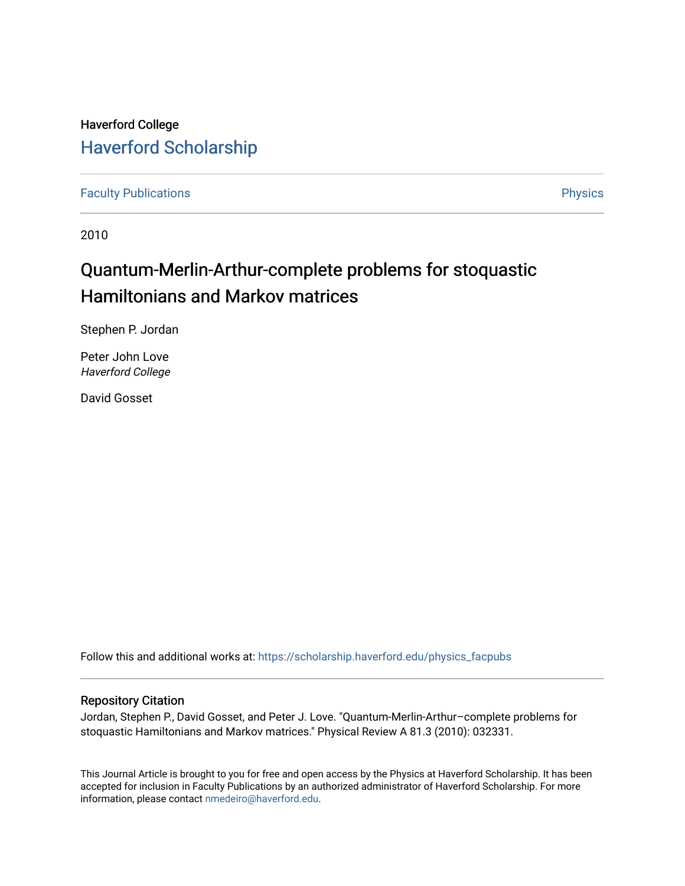# Haverford College [Haverford Scholarship](https://scholarship.haverford.edu/)

[Faculty Publications](https://scholarship.haverford.edu/physics_facpubs) **Physics** 

2010

# Quantum-Merlin-Arthur-complete problems for stoquastic Hamiltonians and Markov matrices

Stephen P. Jordan

Peter John Love Haverford College

David Gosset

Follow this and additional works at: [https://scholarship.haverford.edu/physics\\_facpubs](https://scholarship.haverford.edu/physics_facpubs?utm_source=scholarship.haverford.edu%2Fphysics_facpubs%2F152&utm_medium=PDF&utm_campaign=PDFCoverPages) 

# Repository Citation

Jordan, Stephen P., David Gosset, and Peter J. Love. "Quantum-Merlin-Arthur–complete problems for stoquastic Hamiltonians and Markov matrices." Physical Review A 81.3 (2010): 032331.

This Journal Article is brought to you for free and open access by the Physics at Haverford Scholarship. It has been accepted for inclusion in Faculty Publications by an authorized administrator of Haverford Scholarship. For more information, please contact [nmedeiro@haverford.edu.](mailto:nmedeiro@haverford.edu)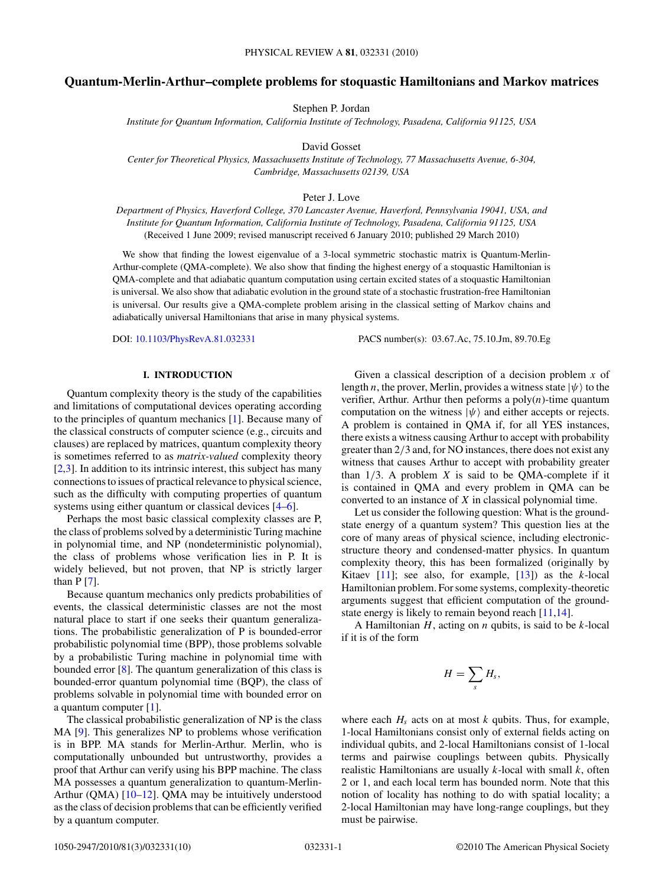### <span id="page-1-0"></span>**Quantum-Merlin-Arthur–complete problems for stoquastic Hamiltonians and Markov matrices**

Stephen P. Jordan

*Institute for Quantum Information, California Institute of Technology, Pasadena, California 91125, USA*

David Gosset

*Center for Theoretical Physics, Massachusetts Institute of Technology, 77 Massachusetts Avenue, 6-304, Cambridge, Massachusetts 02139, USA*

Peter J. Love

*Department of Physics, Haverford College, 370 Lancaster Avenue, Haverford, Pennsylvania 19041, USA, and Institute for Quantum Information, California Institute of Technology, Pasadena, California 91125, USA* (Received 1 June 2009; revised manuscript received 6 January 2010; published 29 March 2010)

We show that finding the lowest eigenvalue of a 3-local symmetric stochastic matrix is Quantum-Merlin-Arthur-complete (QMA-complete). We also show that finding the highest energy of a stoquastic Hamiltonian is QMA-complete and that adiabatic quantum computation using certain excited states of a stoquastic Hamiltonian is universal. We also show that adiabatic evolution in the ground state of a stochastic frustration-free Hamiltonian is universal. Our results give a QMA-complete problem arising in the classical setting of Markov chains and adiabatically universal Hamiltonians that arise in many physical systems.

DOI: [10.1103/PhysRevA.81.032331](http://dx.doi.org/10.1103/PhysRevA.81.032331) PACS number(s): 03*.*67*.*Ac, 75*.*10*.*Jm, 89*.*70*.*Eg

#### **I. INTRODUCTION**

Quantum complexity theory is the study of the capabilities and limitations of computational devices operating according to the principles of quantum mechanics [\[1\]](#page-9-0). Because many of the classical constructs of computer science (e.g., circuits and clauses) are replaced by matrices, quantum complexity theory is sometimes referred to as *matrix-valued* complexity theory [\[2,3\]](#page-9-0). In addition to its intrinsic interest, this subject has many connections to issues of practical relevance to physical science, such as the difficulty with computing properties of quantum systems using either quantum or classical devices [\[4–6\]](#page-9-0).

Perhaps the most basic classical complexity classes are P, the class of problems solved by a deterministic Turing machine in polynomial time, and NP (nondeterministic polynomial), the class of problems whose verification lies in P. It is widely believed, but not proven, that NP is strictly larger than P [\[7\]](#page-9-0).

Because quantum mechanics only predicts probabilities of events, the classical deterministic classes are not the most natural place to start if one seeks their quantum generalizations. The probabilistic generalization of P is bounded-error probabilistic polynomial time (BPP), those problems solvable by a probabilistic Turing machine in polynomial time with bounded error [\[8\]](#page-9-0). The quantum generalization of this class is bounded-error quantum polynomial time (BQP), the class of problems solvable in polynomial time with bounded error on a quantum computer [\[1\]](#page-9-0).

The classical probabilistic generalization of NP is the class MA [\[9\]](#page-9-0). This generalizes NP to problems whose verification is in BPP. MA stands for Merlin-Arthur. Merlin, who is computationally unbounded but untrustworthy, provides a proof that Arthur can verify using his BPP machine. The class MA possesses a quantum generalization to quantum-Merlin-Arthur (QMA) [\[10–12\]](#page-9-0). QMA may be intuitively understood as the class of decision problems that can be efficiently verified by a quantum computer.

Given a classical description of a decision problem *x* of length *n*, the prover, Merlin, provides a witness state  $|\psi\rangle$  to the verifier, Arthur. Arthur then peforms a  $poly(n)$ -time quantum computation on the witness  $|\psi\rangle$  and either accepts or rejects. A problem is contained in QMA if, for all YES instances, there exists a witness causing Arthur to accept with probability greater than 2*/*3 and, for NO instances, there does not exist any witness that causes Arthur to accept with probability greater than  $1/3$ . A problem *X* is said to be QMA-complete if it is contained in QMA and every problem in QMA can be converted to an instance of *X* in classical polynomial time.

Let us consider the following question: What is the groundstate energy of a quantum system? This question lies at the core of many areas of physical science, including electronicstructure theory and condensed-matter physics. In quantum complexity theory, this has been formalized (originally by Kitaev [\[11\]](#page-9-0); see also, for example, [\[13\]](#page-10-0)) as the *k*-local Hamiltonian problem. For some systems, complexity-theoretic arguments suggest that efficient computation of the ground-state energy is likely to remain beyond reach [\[11,](#page-9-0)[14\]](#page-10-0).

A Hamiltonian *H*, acting on *n* qubits, is said to be *k*-local if it is of the form

$$
H=\sum_s H_s,
$$

where each  $H_s$  acts on at most  $k$  qubits. Thus, for example, 1-local Hamiltonians consist only of external fields acting on individual qubits, and 2-local Hamiltonians consist of 1-local terms and pairwise couplings between qubits. Physically realistic Hamiltonians are usually *k*-local with small *k*, often 2 or 1, and each local term has bounded norm. Note that this notion of locality has nothing to do with spatial locality; a 2-local Hamiltonian may have long-range couplings, but they must be pairwise.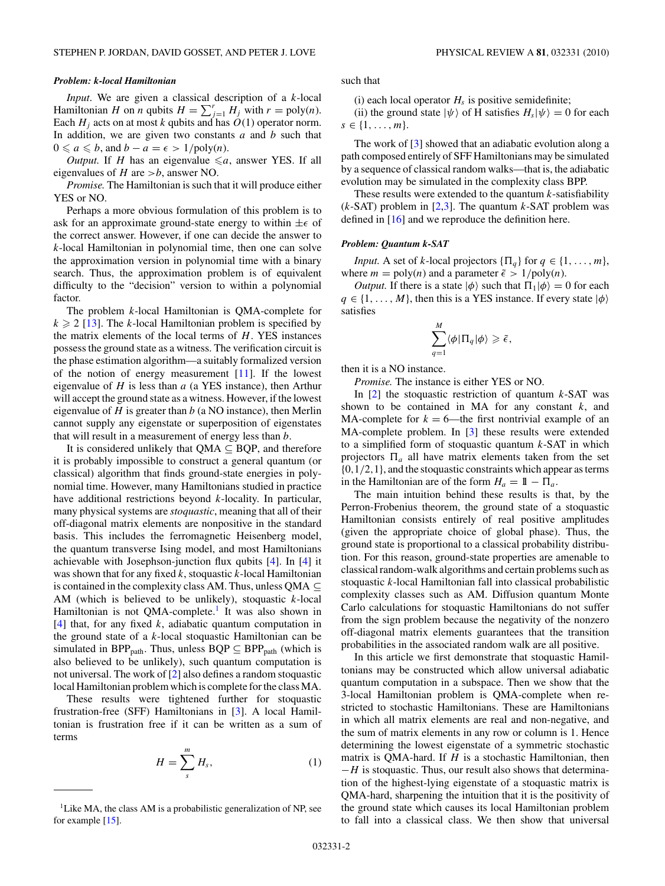#### *Problem: k-local Hamiltonian*

*Input*. We are given a classical description of a *k*-local Hamiltonian *H* on *n* qubits  $H = \sum_{j=1}^{r} H_j$  with  $r = \text{poly}(n)$ . Each *Hj* acts on at most *k* qubits and has *O*(1) operator norm. In addition, we are given two constants *a* and *b* such that  $0 \le a \le b$ , and  $b - a = \epsilon > 1$ /poly(*n*).

*Output.* If *H* has an eigenvalue  $\leq a$ , answer YES. If all eigenvalues of *H* are *>b*, answer NO.

*Promise.* The Hamiltonian is such that it will produce either YES or NO.

Perhaps a more obvious formulation of this problem is to ask for an approximate ground-state energy to within  $\pm \epsilon$  of the correct answer. However, if one can decide the answer to *k*-local Hamiltonian in polynomial time, then one can solve the approximation version in polynomial time with a binary search. Thus, the approximation problem is of equivalent difficulty to the "decision" version to within a polynomial factor.

The problem *k*-local Hamiltonian is QMA-complete for  $k \geqslant 2$  [\[13\]](#page-10-0). The *k*-local Hamiltonian problem is specified by the matrix elements of the local terms of *H*. YES instances possess the ground state as a witness. The verification circuit is the phase estimation algorithm—a suitably formalized version of the notion of energy measurement [\[11\]](#page-9-0). If the lowest eigenvalue of *H* is less than *a* (a YES instance), then Arthur will accept the ground state as a witness. However, if the lowest eigenvalue of *H* is greater than *b* (a NO instance), then Merlin cannot supply any eigenstate or superposition of eigenstates that will result in a measurement of energy less than *b*.

It is considered unlikely that  $QMA \subseteq BQP$ , and therefore it is probably impossible to construct a general quantum (or classical) algorithm that finds ground-state energies in polynomial time. However, many Hamiltonians studied in practice have additional restrictions beyond *k*-locality. In particular, many physical systems are *stoquastic*, meaning that all of their off-diagonal matrix elements are nonpositive in the standard basis. This includes the ferromagnetic Heisenberg model, the quantum transverse Ising model, and most Hamiltonians achievable with Josephson-junction flux qubits [\[4\]](#page-9-0). In [\[4\]](#page-9-0) it was shown that for any fixed *k*, stoquastic *k*-local Hamiltonian is contained in the complexity class AM. Thus, unless QMA  $\subseteq$ AM (which is believed to be unlikely), stoquastic *k*-local Hamiltonian is not QMA-complete.<sup>1</sup> It was also shown in [\[4\]](#page-9-0) that, for any fixed *k*, adiabatic quantum computation in the ground state of a *k*-local stoquastic Hamiltonian can be simulated in BPP<sub>path</sub>. Thus, unless  $BQP \subseteq BPP_{path}$  (which is also believed to be unlikely), such quantum computation is not universal. The work of [\[2\]](#page-9-0) also defines a random stoquastic local Hamiltonian problem which is complete for the class MA.

These results were tightened further for stoquastic frustration-free (SFF) Hamiltonians in [\[3\]](#page-9-0). A local Hamiltonian is frustration free if it can be written as a sum of terms

$$
H=\sum_{s}^{m}H_{s},\qquad \qquad (1)
$$

such that

(i) each local operator  $H_s$  is positive semidefinite;

(ii) the ground state  $|\psi\rangle$  of H satisfies  $H_s|\psi\rangle = 0$  for each  $s \in \{1, \ldots, m\}.$ 

The work of [\[3\]](#page-9-0) showed that an adiabatic evolution along a path composed entirely of SFF Hamiltonians may be simulated by a sequence of classical random walks—that is, the adiabatic evolution may be simulated in the complexity class BPP.

These results were extended to the quantum *k*-satisfiability (*k*-SAT) problem in [\[2,3\]](#page-9-0). The quantum *k*-SAT problem was defined in [\[16\]](#page-10-0) and we reproduce the definition here.

#### *Problem: Quantum k-SAT*

*Input.* A set of *k*-local projectors  $\{\Pi_a\}$  for  $q \in \{1, \ldots, m\}$ , where  $m = \text{poly}(n)$  and a parameter  $\tilde{\epsilon} > 1/\text{poly}(n)$ .

*Output.* If there is a state  $|\phi\rangle$  such that  $\Pi_1|\phi\rangle = 0$  for each  $q \in \{1, \ldots, M\}$ , then this is a YES instance. If every state  $|\phi\rangle$ satisfies

$$
\sum_{q=1}^M \langle \phi | \Pi_q | \phi \rangle \geq \tilde{\epsilon},
$$

then it is a NO instance.

*Promise.* The instance is either YES or NO.

In [\[2\]](#page-9-0) the stoquastic restriction of quantum *k*-SAT was shown to be contained in MA for any constant *k*, and MA-complete for  $k = 6$ —the first nontrivial example of an MA-complete problem. In [\[3\]](#page-9-0) these results were extended to a simplified form of stoquastic quantum *k*-SAT in which projectors  $\Pi_a$  all have matrix elements taken from the set {0*,*1*/*2*,*1}, and the stoquastic constraints which appear as terms in the Hamiltonian are of the form  $H_a = 1 - \Pi_a$ .

The main intuition behind these results is that, by the Perron-Frobenius theorem, the ground state of a stoquastic Hamiltonian consists entirely of real positive amplitudes (given the appropriate choice of global phase). Thus, the ground state is proportional to a classical probability distribution. For this reason, ground-state properties are amenable to classical random-walk algorithms and certain problems such as stoquastic *k*-local Hamiltonian fall into classical probabilistic complexity classes such as AM. Diffusion quantum Monte Carlo calculations for stoquastic Hamiltonians do not suffer from the sign problem because the negativity of the nonzero off-diagonal matrix elements guarantees that the transition probabilities in the associated random walk are all positive.

In this article we first demonstrate that stoquastic Hamiltonians may be constructed which allow universal adiabatic quantum computation in a subspace. Then we show that the 3-local Hamiltonian problem is QMA-complete when restricted to stochastic Hamiltonians. These are Hamiltonians in which all matrix elements are real and non-negative, and the sum of matrix elements in any row or column is 1. Hence determining the lowest eigenstate of a symmetric stochastic matrix is QMA-hard. If *H* is a stochastic Hamiltonian, then −*H* is stoquastic. Thus, our result also shows that determination of the highest-lying eigenstate of a stoquastic matrix is QMA-hard, sharpening the intuition that it is the positivity of the ground state which causes its local Hamiltonian problem to fall into a classical class. We then show that universal

<sup>&</sup>lt;sup>1</sup> Like MA, the class AM is a probabilistic generalization of NP, see for example [\[15\]](#page-10-0).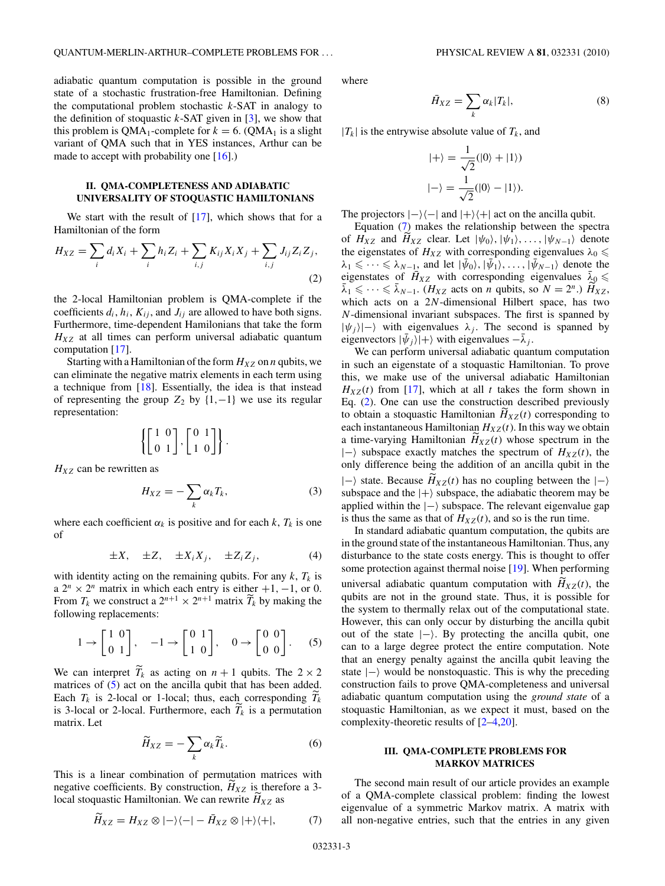<span id="page-3-0"></span>adiabatic quantum computation is possible in the ground state of a stochastic frustration-free Hamiltonian. Defining the computational problem stochastic *k*-SAT in analogy to the definition of stoquastic *k*-SAT given in [\[3\]](#page-9-0), we show that this problem is  $QMA_1$ -complete for  $k = 6$ . ( $QMA_1$  is a slight variant of QMA such that in YES instances, Arthur can be made to accept with probability one [\[16\]](#page-10-0).)

## **II. QMA-COMPLETENESS AND ADIABATIC UNIVERSALITY OF STOQUASTIC HAMILTONIANS**

We start with the result of  $[17]$ , which shows that for a Hamiltonian of the form

$$
H_{XZ} = \sum_{i} d_i X_i + \sum_{i} h_i Z_i + \sum_{i,j} K_{ij} X_i X_j + \sum_{i,j} J_{ij} Z_i Z_j,
$$
\n(2)

the 2-local Hamiltonian problem is QMA-complete if the coefficients  $d_i$ ,  $h_i$ ,  $K_{ij}$ , and  $J_{ij}$  are allowed to have both signs. Furthermore, time-dependent Hamilonians that take the form *HXZ* at all times can perform universal adiabatic quantum computation [\[17\]](#page-10-0).

Starting with a Hamiltonian of the form  $H_{XZ}$  on *n* qubits, we can eliminate the negative matrix elements in each term using a technique from [\[18\]](#page-10-0). Essentially, the idea is that instead of representing the group  $Z_2$  by  $\{1, -1\}$  we use its regular representation:

$$
\left\{ \begin{bmatrix} 1 & 0 \\ 0 & 1 \end{bmatrix}, \begin{bmatrix} 0 & 1 \\ 1 & 0 \end{bmatrix} \right\}.
$$

*HXZ* can be rewritten as

$$
H_{XZ} = -\sum_{k} \alpha_k T_k, \tag{3}
$$

where each coefficient  $\alpha_k$  is positive and for each  $k$ ,  $T_k$  is one of

$$
\pm X, \quad \pm Z, \quad \pm X_i X_j, \quad \pm Z_i Z_j,\tag{4}
$$

with identity acting on the remaining qubits. For any  $k$ ,  $T_k$  is a  $2^n \times 2^n$  matrix in which each entry is either  $+1, -1$ , or 0. From  $T_k$  we construct a  $2^{n+1} \times 2^{n+1}$  matrix  $\widetilde{T}_k$  by making the following replacements:

$$
1 \to \begin{bmatrix} 1 & 0 \\ 0 & 1 \end{bmatrix}, \quad -1 \to \begin{bmatrix} 0 & 1 \\ 1 & 0 \end{bmatrix}, \quad 0 \to \begin{bmatrix} 0 & 0 \\ 0 & 0 \end{bmatrix}. \tag{5}
$$

We can interpret  $\overline{T}_k$  as acting on  $n+1$  qubits. The  $2 \times 2$ matrices of (5) act on the ancilla qubit that has been added. Each  $T_k$  is 2-local or 1-local; thus, each corresponding  $T_k$ <br>is 2 local as 2 local. Furthermore, each  $\tilde{T}$  is a commutation is 3-local or 2-local. Furthermore, each  $T_k$  is a permutation matrix. Let

$$
\widetilde{H}_{XZ} = -\sum_{k} \alpha_k \widetilde{T}_k. \tag{6}
$$

This is a linear combination of permutation matrices with negative coefficients. By construction,  $H_{XZ}$  is therefore a 3local stoquastic Hamiltonian. We can rewrite *<sup>H</sup>XZ* as

$$
\widetilde{H}_{XZ} = H_{XZ} \otimes |-\rangle\langle -| - \bar{H}_{XZ} \otimes |+\rangle\langle +|,\tag{7}
$$

where

$$
\bar{H}_{XZ} = \sum_{k} \alpha_k |T_k|,\tag{8}
$$

 $|T_k|$  is the entrywise absolute value of  $T_k$ , and

$$
|+\rangle = \frac{1}{\sqrt{2}}(|0\rangle + |1\rangle)
$$

$$
|-\rangle = \frac{1}{\sqrt{2}}(|0\rangle - |1\rangle).
$$

The projectors  $|-\rangle\langle-|$  and  $|+\rangle\langle+|$  act on the ancilla qubit.

Equation (7) makes the relationship between the spectra of  $H_{XZ}$  and  $H_{XZ}$  clear. Let  $|\psi_0\rangle, |\psi_1\rangle, \ldots, |\psi_{N-1}\rangle$  denote the eigenstates of  $H_{XZ}$  with corresponding eigenvalues  $\lambda_0 \leq$  $\lambda_1 \leq \cdots \leq \lambda_{N-1}$ , and let  $|\bar{\psi}_0\rangle, |\bar{\psi}_1\rangle, \ldots, |\bar{\psi}_{N-1}\rangle$  denote the eigenstates of  $\bar{H}_{XZ}$  with corresponding eigenvalues  $\bar{\lambda}_0 \leq$  $\bar{\lambda}_1 \leq \cdots \leq \bar{\lambda}_{N-1}$ . (*H<sub>XZ</sub>* acts on *n* qubits, so  $N = 2^n$ .)  $H_{XZ}$ , which acts on a 2*N*-dimensional Hilbert space, has two *N*-dimensional invariant subspaces. The first is spanned by  $|\psi_i\rangle|$  with eigenvalues  $\lambda_i$ . The second is spanned by eigenvectors  $|\bar{\psi}_j\rangle|$  + with eigenvalues  $-\bar{\lambda}_j$ .

We can perform universal adiabatic quantum computation in such an eigenstate of a stoquastic Hamiltonian. To prove this, we make use of the universal adiabatic Hamiltonian  $H_{XZ}(t)$  from [\[17\]](#page-10-0), which at all *t* takes the form shown in Eq. (2). One can use the construction described previously to obtain a stoquastic Hamiltonian  $H_{XZ}(t)$  corresponding to each instantaneous Hamiltonian  $H_{XZ}(t)$ . In this way we obtain a time-varying Hamiltonian  $H_{XZ}(t)$  whose spectrum in the |− subspace exactly matches the spectrum of *HXZ*(*t*), the only difference being the addition of an ancilla qubit in the  $|-\rangle$  state. Because  $\tilde{H}_{XZ}(t)$  has no coupling between the  $|-\rangle$ subspace and the  $|+\rangle$  subspace, the adiabatic theorem may be applied within the  $|−⟩$  subspace. The relevant eigenvalue gap is thus the same as that of  $H_{XZ}(t)$ , and so is the run time.

In standard adiabatic quantum computation, the qubits are in the ground state of the instantaneous Hamiltonian. Thus, any disturbance to the state costs energy. This is thought to offer some protection against thermal noise [\[19\]](#page-10-0). When performing universal adiabatic quantum computation with  $H_{XZ}(t)$ , the qubits are not in the ground state. Thus, it is possible for the system to thermally relax out of the computational state. However, this can only occur by disturbing the ancilla qubit out of the state  $|-\rangle$ . By protecting the ancilla qubit, one can to a large degree protect the entire computation. Note that an energy penalty against the ancilla qubit leaving the state  $|-\rangle$  would be nonstoquastic. This is why the preceding construction fails to prove QMA-completeness and universal adiabatic quantum computation using the *ground state* of a stoquastic Hamiltonian, as we expect it must, based on the complexity-theoretic results of [\[2–4,](#page-9-0)[20\]](#page-10-0).

#### **III. QMA-COMPLETE PROBLEMS FOR MARKOV MATRICES**

The second main result of our article provides an example of a QMA-complete classical problem: finding the lowest eigenvalue of a symmetric Markov matrix. A matrix with all non-negative entries, such that the entries in any given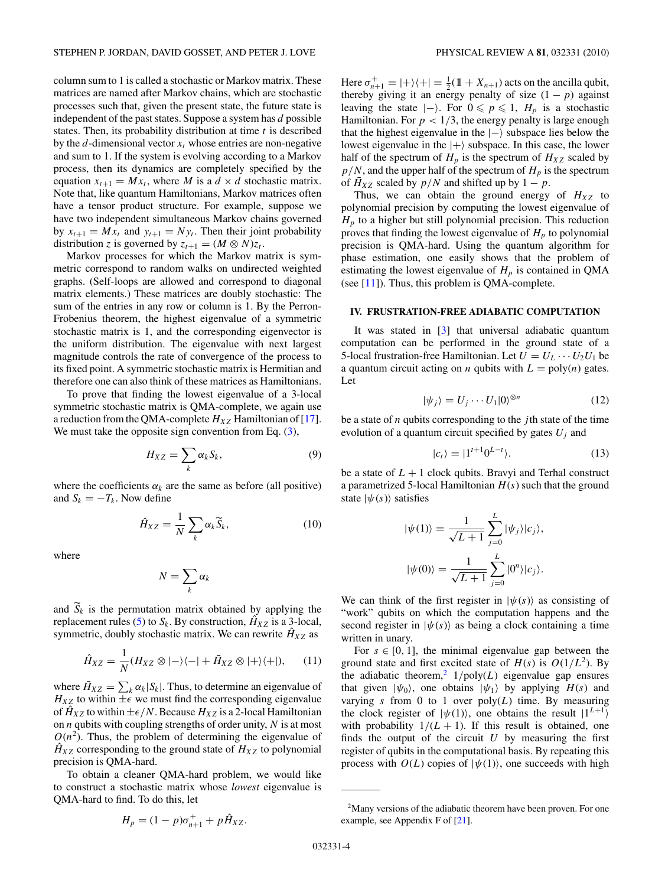<span id="page-4-0"></span>column sum to 1 is called a stochastic or Markov matrix. These matrices are named after Markov chains, which are stochastic processes such that, given the present state, the future state is independent of the past states. Suppose a system has *d* possible states. Then, its probability distribution at time *t* is described by the  $d$ -dimensional vector  $x_t$  whose entries are non-negative and sum to 1. If the system is evolving according to a Markov process, then its dynamics are completely specified by the equation  $x_{t+1} = Mx_t$ , where *M* is a  $d \times d$  stochastic matrix. Note that, like quantum Hamiltonians, Markov matrices often have a tensor product structure. For example, suppose we have two independent simultaneous Markov chains governed by  $x_{t+1} = Mx_t$  and  $y_{t+1} = Ny_t$ . Then their joint probability distribution *z* is governed by  $z_{t+1} = (M \otimes N)z_t$ .

Markov processes for which the Markov matrix is symmetric correspond to random walks on undirected weighted graphs. (Self-loops are allowed and correspond to diagonal matrix elements.) These matrices are doubly stochastic: The sum of the entries in any row or column is 1. By the Perron-Frobenius theorem, the highest eigenvalue of a symmetric stochastic matrix is 1, and the corresponding eigenvector is the uniform distribution. The eigenvalue with next largest magnitude controls the rate of convergence of the process to its fixed point. A symmetric stochastic matrix is Hermitian and therefore one can also think of these matrices as Hamiltonians.

To prove that finding the lowest eigenvalue of a 3-local symmetric stochastic matrix is QMA-complete, we again use a reduction from the QMA-complete  $H_{XZ}$  Hamiltonian of [\[17\]](#page-10-0). We must take the opposite sign convention from Eq. [\(3\)](#page-3-0),

$$
H_{XZ} = \sum_{k} \alpha_k S_k, \qquad (9)
$$

where the coefficients  $\alpha_k$  are the same as before (all positive) and  $S_k = -T_k$ . Now define

$$
\hat{H}_{XZ} = \frac{1}{N} \sum_{k} \alpha_k \widetilde{S}_k, \qquad (10)
$$

where

$$
N=\sum_k \alpha_k
$$

and  $S_k$  is the permutation matrix obtained by applying the replacement rules [\(5\)](#page-3-0) to  $S_k$ . By construction,  $\hat{H}_{XZ}$  is a 3-local, symmetric, doubly stochastic matrix. We can rewrite  $\hat{H}_{XZ}$  as

$$
\hat{H}_{XZ} = \frac{1}{N} (H_{XZ} \otimes |-\rangle\langle -| + \bar{H}_{XZ} \otimes |+\rangle\langle +|), \qquad (11)
$$

where  $\bar{H}_{XZ} = \sum_{k} \alpha_k |S_k|$ . Thus, to determine an eigenvalue of  $H_{XZ}$  to within  $\pm \epsilon$  we must find the corresponding eigenvalue of  $\hat{H}_{XZ}$  to within  $\pm \epsilon/N$ . Because  $H_{XZ}$  is a 2-local Hamiltonian on *n* qubits with coupling strengths of order unity, *N* is at most  $O(n^2)$ . Thus, the problem of determining the eigenvalue of  $H_{XZ}$  corresponding to the ground state of  $H_{XZ}$  to polynomial precision is QMA-hard.

To obtain a cleaner QMA-hard problem, we would like to construct a stochastic matrix whose *lowest* eigenvalue is QMA-hard to find. To do this, let

Here  $\sigma_{n+1}^+ = |+\rangle\langle +| = \frac{1}{2}(\mathbb{1} + X_{n+1})$  acts on the ancilla qubit, thereby giving it an energy penalty of size  $(1 - p)$  against leaving the state  $|-\rangle$ . For  $0 \le p \le 1$ ,  $H_p$  is a stochastic Hamiltonian. For  $p < 1/3$ , the energy penalty is large enough that the highest eigenvalue in the  $|-\rangle$  subspace lies below the lowest eigenvalue in the  $|+\rangle$  subspace. In this case, the lower half of the spectrum of  $H_p$  is the spectrum of  $H_{XZ}$  scaled by  $p/N$ , and the upper half of the spectrum of  $H_p$  is the spectrum of  $\bar{H}_{XZ}$  scaled by  $p/N$  and shifted up by  $1 - p$ .

Thus, we can obtain the ground energy of  $H_{XZ}$  to polynomial precision by computing the lowest eigenvalue of  $H_p$  to a higher but still polynomial precision. This reduction proves that finding the lowest eigenvalue of  $H_p$  to polynomial precision is QMA-hard. Using the quantum algorithm for phase estimation, one easily shows that the problem of estimating the lowest eigenvalue of  $H_p$  is contained in QMA (see  $[11]$ ). Thus, this problem is QMA-complete.

#### **IV. FRUSTRATION-FREE ADIABATIC COMPUTATION**

It was stated in [\[3\]](#page-9-0) that universal adiabatic quantum computation can be performed in the ground state of a 5-local frustration-free Hamiltonian. Let  $U = U_L \cdots U_2 U_1$  be a quantum circuit acting on *n* qubits with  $L = \text{poly}(n)$  gates. Let

$$
|\psi_j\rangle = U_j \cdots U_1 |0\rangle^{\otimes n} \tag{12}
$$

be a state of *n* qubits corresponding to the *j* th state of the time evolution of a quantum circuit specified by gates  $U_i$  and

$$
|c_t\rangle = |1^{t+1}0^{L-t}\rangle. \tag{13}
$$

be a state of  $L + 1$  clock qubits. Bravyi and Terhal construct a parametrized 5-local Hamiltonian  $H(s)$  such that the ground state  $|\psi(s)\rangle$  satisfies

$$
|\psi(1)\rangle = \frac{1}{\sqrt{L+1}} \sum_{j=0}^{L} |\psi_j\rangle |c_j\rangle,
$$
  

$$
|\psi(0)\rangle = \frac{1}{\sqrt{L+1}} \sum_{j=0}^{L} |0^n\rangle |c_j\rangle.
$$

We can think of the first register in  $|\psi(s)\rangle$  as consisting of "work" qubits on which the computation happens and the second register in  $|\psi(s)\rangle$  as being a clock containing a time written in unary.

For  $s \in [0, 1]$ , the minimal eigenvalue gap between the ground state and first excited state of  $H(s)$  is  $O(1/L^2)$ . By the adiabatic theorem,  $\frac{2}{7}$  1/poly(*L*) eigenvalue gap ensures that given  $|\psi_0\rangle$ , one obtains  $|\psi_1\rangle$  by applying  $H(s)$  and varying  $s$  from 0 to 1 over  $poly(L)$  time. By measuring the clock register of  $|\psi(1)\rangle$ , one obtains the result  $|1^{L+1}\rangle$ with probability  $1/(L + 1)$ . If this result is obtained, one finds the output of the circuit  $U$  by measuring the first register of qubits in the computational basis. By repeating this process with  $O(L)$  copies of  $|\psi(1)\rangle$ , one succeeds with high

<sup>&</sup>lt;sup>2</sup>Many versions of the adiabatic theorem have been proven. For one example, see Appendix F of [\[21\]](#page-10-0).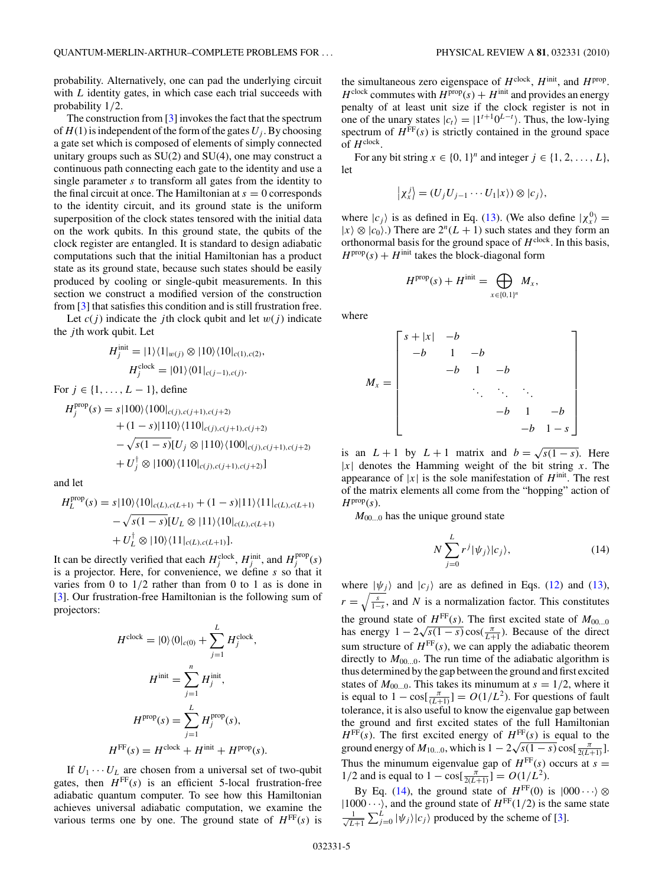probability. Alternatively, one can pad the underlying circuit with *L* identity gates, in which case each trial succeeds with probability 1*/*2.

The construction from [\[3\]](#page-9-0) invokes the fact that the spectrum of  $H(1)$  is independent of the form of the gates  $U_i$ . By choosing a gate set which is composed of elements of simply connected unitary groups such as SU(2) and SU(4), one may construct a continuous path connecting each gate to the identity and use a single parameter *s* to transform all gates from the identity to the final circuit at once. The Hamiltonian at  $s = 0$  corresponds to the identity circuit, and its ground state is the uniform superposition of the clock states tensored with the initial data on the work qubits. In this ground state, the qubits of the clock register are entangled. It is standard to design adiabatic computations such that the initial Hamiltonian has a product state as its ground state, because such states should be easily produced by cooling or single-qubit measurements. In this section we construct a modified version of the construction from [\[3\]](#page-9-0) that satisfies this condition and is still frustration free.

Let  $c(j)$  indicate the *j*th clock qubit and let  $w(j)$  indicate the *j* th work qubit. Let

$$
H_j^{\text{init}} = |1\rangle\langle 1|_{w(j)} \otimes |10\rangle\langle 10|_{c(1),c(2)},
$$
  

$$
H_j^{\text{clock}} = |01\rangle\langle 01|_{c(j-1),c(j)}.
$$

For *j* ∈ {1, ..., *L* − 1}, define

$$
H_j^{\text{prop}}(s) = s|100\rangle\langle100|_{c(j),c(j+1),c(j+2)}+ (1-s)|110\rangle\langle110|_{c(j),c(j+1),c(j+2)}-\sqrt{s(1-s)}[U_j \otimes |110\rangle\langle100|_{c(j),c(j+1),c(j+2)}+ U_j^{\dagger} \otimes |100\rangle\langle110|_{c(j),c(j+1),c(j+2)}]
$$

and let

$$
H_L^{\text{prop}}(s) = s|10\rangle\langle 10|_{c(L), c(L+1)} + (1-s)|11\rangle\langle 11|_{c(L), c(L+1)} - \sqrt{s(1-s)}[U_L \otimes |11\rangle\langle 10|_{c(L), c(L+1)} + U_L^{\dagger} \otimes |10\rangle\langle 11|_{c(L), c(L+1)}].
$$

It can be directly verified that each  $H_j^{\text{clock}}$ ,  $H_j^{\text{init}}$ , and  $H_j^{\text{prop}}(s)$ is a projector. Here, for convenience, we define *s* so that it varies from 0 to 1*/*2 rather than from 0 to 1 as is done in [\[3\]](#page-9-0). Our frustration-free Hamiltonian is the following sum of projectors:

$$
H^{\text{clock}} = |0\rangle\langle 0|_{c(0)} + \sum_{j=1}^{L} H_j^{\text{clock}},
$$

$$
H^{\text{init}} = \sum_{j=1}^{n} H_j^{\text{init}},
$$

$$
H^{\text{prop}}(s) = \sum_{j=1}^{L} H_j^{\text{prop}}(s),
$$

$$
H^{\text{FF}}(s) = H^{\text{clock}} + H^{\text{init}} + H^{\text{prop}}(s).
$$

If  $U_1 \cdots U_L$  are chosen from a universal set of two-qubit gates, then  $H^{\text{FF}}(s)$  is an efficient 5-local frustration-free adiabatic quantum computer. To see how this Hamiltonian achieves universal adiabatic computation, we examine the various terms one by one. The ground state of  $H<sup>FF</sup>(s)$  is the simultaneous zero eigenspace of  $H^{clock}$ ,  $H^{init}$ , and  $H^{prop}$ .  $H^{\text{clock}}$  commutes with  $H^{\text{prop}}(s) + H^{\text{init}}$  and provides an energy penalty of at least unit size if the clock register is not in one of the unary states  $|c_t\rangle=|1^{t+1}0^{L-t}\rangle$ . Thus, the low-lying spectrum of  $H^{\text{FF}}(s)$  is strictly contained in the ground space of *H*clock.

For any bit string  $x \in \{0, 1\}^n$  and integer  $j \in \{1, 2, \ldots, L\}$ , let

$$
\left|\chi_{x}^{j}\right\rangle=(U_{j}U_{j-1}\cdots U_{1}|x\rangle)\otimes|c_{j}\rangle,
$$

where  $|c_j\rangle$  is as defined in Eq. [\(13\)](#page-4-0). (We also define  $|\chi^0_x\rangle$  =  $|x\rangle$  ⊗  $|c_0\rangle$ .) There are  $2^n(L + 1)$  such states and they form an orthonormal basis for the ground space of *H*clock. In this basis,  $H^{\text{prop}}(s) + H^{\text{init}}$  takes the block-diagonal form

$$
H^{\text{prop}}(s) + H^{\text{init}} = \bigoplus_{x \in \{0,1\}^n} M_x,
$$

where

$$
M_x = \begin{bmatrix} s+|x| & -b & & & & \\ -b & 1 & -b & & & \\ & -b & 1 & -b & & \\ & & \ddots & \ddots & \ddots & \\ & & & -b & 1 & -b \\ & & & & -b & 1-s \end{bmatrix}
$$

is an  $L + 1$  by  $L + 1$  matrix and  $b = \sqrt{s(1-s)}$ . Here |*x*| denotes the Hamming weight of the bit string *x*. The appearance of  $|x|$  is the sole manifestation of  $H^{\text{init}}$ . The rest of the matrix elements all come from the "hopping" action of  $H^{prop}(s)$ .

 $M_{00...0}$  has the unique ground state

$$
N\sum_{j=0}^{L} r^{j} |\psi_j\rangle |c_j\rangle, \tag{14}
$$

where  $|\psi_j\rangle$  and  $|c_j\rangle$  are as defined in Eqs. [\(12\)](#page-4-0) and [\(13\)](#page-4-0),  $r = \sqrt{\frac{s}{1-s}}$ , and *N* is a normalization factor. This constitutes the ground state of  $H^{\text{FF}}(s)$ . The first excited state of  $M_{00...0}$ the ground state of  $H^{+}(s)$ . The first excited state of  $M_{00...0}$ <br>has energy  $1 - 2\sqrt{s(1-s)}\cos(\frac{\pi}{L+1})$ . Because of the direct sum structure of  $H^{\text{FF}}(s)$ , we can apply the adiabatic theorem directly to  $M_{00...0}$ . The run time of the adiabatic algorithm is thus determined by the gap between the ground and first excited states of  $M_{00...0}$ . This takes its minumum at  $s = 1/2$ , where it is equal to  $1 - \cos[\frac{\pi}{(L+1)}] = O(1/L^2)$ . For questions of fault tolerance, it is also useful to know the eigenvalue gap between the ground and first excited states of the full Hamiltonian  $H^{\text{FF}}(s)$ . The first excited energy of  $H^{\text{FF}}(s)$  is equal to the  $H^{+}(s)$ . The first excited energy of  $H^{+}(s)$  is equal to the ground energy of  $M_{10...0}$ , which is  $1 - 2\sqrt{s(1-s)} \cos[\frac{\pi}{2(L+1)}]$ . Thus the minumum eigenvalue gap of  $H^{FF}(s)$  occurs at  $s =$ 1/2 and is equal to  $1 - \cos[\frac{\pi}{2(L+1)}] = O(1/L^2)$ .

By Eq. (14), the ground state of  $H^{\text{FF}}(0)$  is  $|000 \cdots \rangle$  ⊗  $|1000 \cdots \rangle$ , and the ground state of  $H^{\text{FF}}(1/2)$  is the same state  $\frac{1}{\sqrt{2}}$  $\frac{1}{L+1} \sum_{j=0}^{L} |\psi_j\rangle |c_j\rangle$  produced by the scheme of [\[3\]](#page-9-0).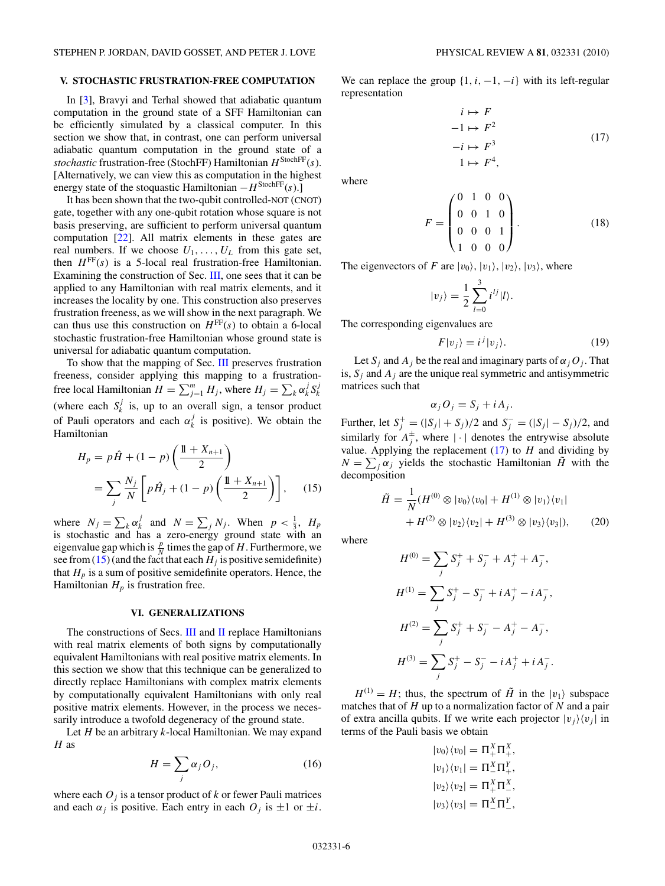#### <span id="page-6-0"></span>**V. STOCHASTIC FRUSTRATION-FREE COMPUTATION**

In [\[3\]](#page-9-0), Bravyi and Terhal showed that adiabatic quantum computation in the ground state of a SFF Hamiltonian can be efficiently simulated by a classical computer. In this section we show that, in contrast, one can perform universal adiabatic quantum computation in the ground state of a *stochastic* frustration-free (StochFF) Hamiltonian  $H^{\text{StochFF}}(s)$ . [Alternatively, we can view this as computation in the highest energy state of the stoquastic Hamiltonian  $-H^{\text{StochFF}}(s)$ .]

It has been shown that the two-qubit controlled-NOT (CNOT) gate, together with any one-qubit rotation whose square is not basis preserving, are sufficient to perform universal quantum computation [\[22\]](#page-10-0). All matrix elements in these gates are real numbers. If we choose  $U_1, \ldots, U_L$  from this gate set, then  $H^{\text{FF}}(s)$  is a 5-local real frustration-free Hamiltonian. Examining the construction of Sec. [III,](#page-3-0) one sees that it can be applied to any Hamiltonian with real matrix elements, and it increases the locality by one. This construction also preserves frustration freeness, as we will show in the next paragraph. We can thus use this construction on  $H^{\text{FF}}(s)$  to obtain a 6-local stochastic frustration-free Hamiltonian whose ground state is universal for adiabatic quantum computation.

To show that the mapping of Sec. [III](#page-3-0) preserves frustration freeness, consider applying this mapping to a frustrationfree local Hamiltonian  $H = \sum_{j=1}^{m} H_j$ , where  $H_j = \sum_k \alpha_k^j S_k^j$ (where each  $S_k^j$  is, up to an overall sign, a tensor product of Pauli operators and each  $\alpha_k^j$  is positive). We obtain the Hamiltonian

$$
H_p = p\hat{H} + (1 - p) \left( \frac{1 + X_{n+1}}{2} \right)
$$
  
=  $\sum_j \frac{N_j}{N} \left[ p\hat{H}_j + (1 - p) \left( \frac{1 + X_{n+1}}{2} \right) \right],$  (15)

where  $N_j = \sum_k \alpha_k^j$  and  $N = \sum_j N_j$ . When  $p < \frac{1}{3}$ ,  $H_p$ is stochastic and has a zero-energy ground state with an eigenvalue gap which is  $\frac{p}{N}$  times the gap of *H*. Furthermore, we see from  $(15)$  (and the fact that each  $H_i$  is positive semidefinite) that  $H_p$  is a sum of positive semidefinite operators. Hence, the Hamiltonian  $H_p$  is frustration free.

#### **VI. GENERALIZATIONS**

The constructions of Secs. [III](#page-3-0) and [II](#page-3-0) replace Hamiltonians with real matrix elements of both signs by computationally equivalent Hamiltonians with real positive matrix elements. In this section we show that this technique can be generalized to directly replace Hamiltonians with complex matrix elements by computationally equivalent Hamiltonians with only real positive matrix elements. However, in the process we necessarily introduce a twofold degeneracy of the ground state.

Let *H* be an arbitrary *k*-local Hamiltonian. We may expand *H* as

$$
H = \sum_{j} \alpha_{j} O_{j}, \qquad (16)
$$

where each  $O_i$  is a tensor product of  $k$  or fewer Pauli matrices and each  $\alpha_j$  is positive. Each entry in each  $O_j$  is  $\pm 1$  or  $\pm i$ . We can replace the group  $\{1, i, -1, -i\}$  with its left-regular representation

$$
i \mapsto F
$$
  
\n
$$
-1 \mapsto F^2
$$
  
\n
$$
-i \mapsto F^3
$$
  
\n
$$
1 \mapsto F^4,
$$
  
\n(17)

where

$$
F = \begin{pmatrix} 0 & 1 & 0 & 0 \\ 0 & 0 & 1 & 0 \\ 0 & 0 & 0 & 1 \\ 1 & 0 & 0 & 0 \end{pmatrix}.
$$
 (18)

The eigenvectors of *F* are  $|v_0\rangle$ ,  $|v_1\rangle$ ,  $|v_2\rangle$ ,  $|v_3\rangle$ , where

$$
|v_j\rangle = \frac{1}{2} \sum_{l=0}^{3} i^{lj} |l\rangle.
$$

The corresponding eigenvalues are

$$
F|v_j\rangle = i^j|v_j\rangle. \tag{19}
$$

Let  $S_i$  and  $A_j$  be the real and imaginary parts of  $\alpha_j O_j$ . That is,  $S_i$  and  $A_j$  are the unique real symmetric and antisymmetric matrices such that

$$
\alpha_j O_j = S_j + i A_j.
$$

Further, let  $S_j^+ = (|S_j| + S_j)/2$  and  $S_j^- = (|S_j| - S_j)/2$ , and similarly for  $A_j^{\pm}$ , where  $|\cdot|$  denotes the entrywise absolute value. Applying the replacement (17) to *H* and dividing by  $N = \sum_{i} \alpha_{i}$  yields the stochastic Hamiltonian  $\tilde{H}$  with the decomposition

$$
\tilde{H} = \frac{1}{N} (H^{(0)} \otimes |v_0\rangle\langle v_0| + H^{(1)} \otimes |v_1\rangle\langle v_1| \n+ H^{(2)} \otimes |v_2\rangle\langle v_2| + H^{(3)} \otimes |v_3\rangle\langle v_3|),
$$
\n(20)

where

$$
H^{(0)} = \sum_{j} S_{j}^{+} + S_{j}^{-} + A_{j}^{+} + A_{j}^{-},
$$
  
\n
$$
H^{(1)} = \sum_{j} S_{j}^{+} - S_{j}^{-} + iA_{j}^{+} - iA_{j}^{-},
$$
  
\n
$$
H^{(2)} = \sum_{j} S_{j}^{+} + S_{j}^{-} - A_{j}^{+} - A_{j}^{-},
$$
  
\n
$$
H^{(3)} = \sum_{j} S_{j}^{+} - S_{j}^{-} - iA_{j}^{+} + iA_{j}^{-}.
$$

 $H^{(1)} = H$ ; thus, the spectrum of  $\tilde{H}$  in the  $|v_1\rangle$  subspace matches that of *H* up to a normalization factor of *N* and a pair of extra ancilla qubits. If we write each projector  $|v_i\rangle\langle v_i|$  in terms of the Pauli basis we obtain

> $|v_0\rangle\langle v_0| = \Pi_{+}^X \Pi_{+}^X,$  $|v_1\rangle\langle v_1| = \Pi_{-}^X \Pi_{+}^Y,$  $|v_2\rangle\langle v_2| = \Pi_{+}^X \Pi_{-}^X$  $|v_3\rangle\langle v_3| = \Pi_{-}^X \Pi_{-}^Y,$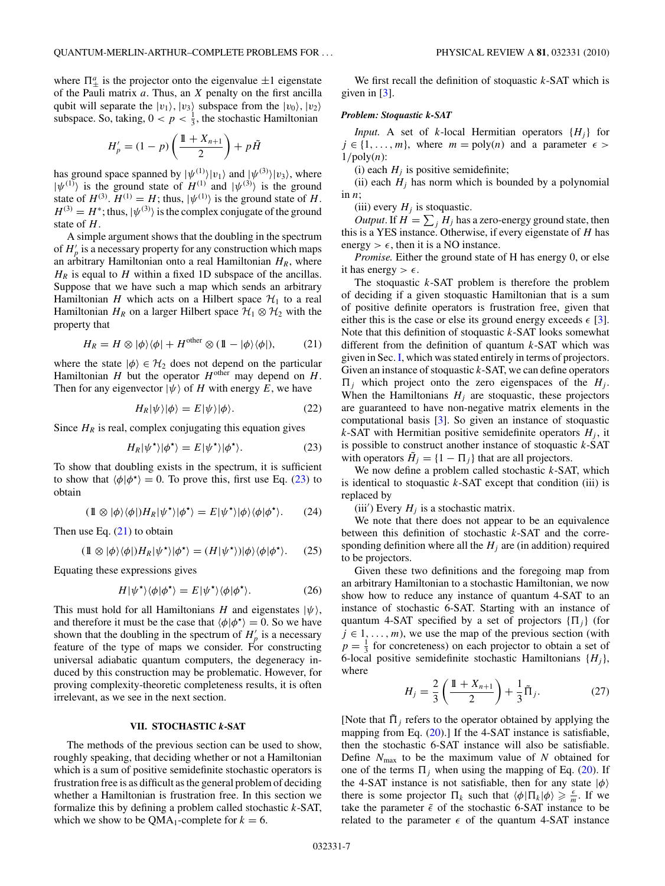where  $\Pi_{\pm}^{a}$  is the projector onto the eigenvalue  $\pm 1$  eigenstate of the Pauli matrix *a*. Thus, an *X* penalty on the first ancilla qubit will separate the  $|v_1\rangle$ ,  $|v_3\rangle$  subspace from the  $|v_0\rangle$ ,  $|v_2\rangle$ subspace. So, taking,  $0 < p < \frac{1}{3}$ , the stochastic Hamiltonian

$$
H'_{p} = (1-p)\left(\frac{1+X_{n+1}}{2}\right) + p\tilde{H}
$$

has ground space spanned by  $|\psi^{(1)}\rangle|v_1\rangle$  and  $|\psi^{(3)}\rangle|v_3\rangle$ , where  $|\psi^{(1)}\rangle$  is the ground state of  $H^{(1)}$  and  $|\psi^{(3)}\rangle$  is the ground state of  $H^{(3)}$ .  $H^{(1)} = H$ ; thus,  $|\psi^{(1)}\rangle$  is the ground state of *H*.  $H^{(3)} = H^*$ ; thus,  $|\psi^{(3)}\rangle$  is the complex conjugate of the ground state of *H*.

A simple argument shows that the doubling in the spectrum of  $H_p'$  is a necessary property for any construction which maps an arbitrary Hamiltonian onto a real Hamiltonian  $H_R$ , where  $H_R$  is equal to  $H$  within a fixed 1D subspace of the ancillas. Suppose that we have such a map which sends an arbitrary Hamiltonian *H* which acts on a Hilbert space  $H_1$  to a real Hamiltonian  $H_R$  on a larger Hilbert space  $\mathcal{H}_1 \otimes \mathcal{H}_2$  with the property that

$$
H_R = H \otimes |\phi\rangle\langle\phi| + H^{\text{other}} \otimes (\mathbb{1} - |\phi\rangle\langle\phi|), \tag{21}
$$

where the state  $|\phi\rangle \in \mathcal{H}_2$  does not depend on the particular Hamiltonian *H* but the operator *H*other may depend on *H*. Then for any eigenvector  $|\psi\rangle$  of *H* with energy *E*, we have

$$
H_R|\psi\rangle|\phi\rangle = E|\psi\rangle|\phi\rangle. \tag{22}
$$

Since  $H_R$  is real, complex conjugating this equation gives

$$
H_R|\psi^{\star}\rangle|\phi^{\star}\rangle = E|\psi^{\star}\rangle|\phi^{\star}\rangle. \tag{23}
$$

To show that doubling exists in the spectrum, it is sufficient to show that  $\langle \phi | \phi^* \rangle = 0$ . To prove this, first use Eq. (23) to obtain

$$
(\mathbb{1} \otimes |\phi\rangle\langle\phi|)H_R|\psi^*\rangle|\phi^*\rangle = E|\psi^*\rangle|\phi\rangle\langle\phi|\phi^*\rangle. \tag{24}
$$

Then use Eq.  $(21)$  to obtain

$$
(\mathbb{1} \otimes |\phi\rangle\langle\phi|)H_R|\psi^*\rangle|\phi^*\rangle = (H|\psi^*\rangle)|\phi\rangle\langle\phi|\phi^*\rangle. \quad (25)
$$

Equating these expressions gives

$$
H|\psi^{\star}\rangle\langle\phi|\phi^{\star}\rangle = E|\psi^{\star}\rangle\langle\phi|\phi^{\star}\rangle. \tag{26}
$$

This must hold for all Hamiltonians *H* and eigenstates  $|\psi\rangle$ , and therefore it must be the case that  $\langle \phi | \phi^* \rangle = 0$ . So we have shown that the doubling in the spectrum of  $H_p'$  is a necessary feature of the type of maps we consider. For constructing universal adiabatic quantum computers, the degeneracy induced by this construction may be problematic. However, for proving complexity-theoretic completeness results, it is often irrelevant, as we see in the next section.

#### **VII. STOCHASTIC** *k***-SAT**

The methods of the previous section can be used to show, roughly speaking, that deciding whether or not a Hamiltonian which is a sum of positive semidefinite stochastic operators is frustration free is as difficult as the general problem of deciding whether a Hamiltonian is frustration free. In this section we formalize this by defining a problem called stochastic *k*-SAT, which we show to be  $QMA_1$ -complete for  $k = 6$ .

We first recall the definition of stoquastic *k*-SAT which is given in [\[3\]](#page-9-0).

#### *Problem: Stoquastic k-SAT*

*Input.* A set of *k*-local Hermitian operators  $\{H_i\}$  for  $j \in \{1, \ldots, m\}$ , where  $m = \text{poly}(n)$  and a parameter  $\epsilon$ 1*/*poly(*n*):

(i) each  $H_i$  is positive semidefinite;

(ii) each  $H_i$  has norm which is bounded by a polynomial in *n*;

(iii) every  $H_j$  is stoquastic.

*Output*. If  $H = \sum_j H_j$  has a zero-energy ground state, then this is a YES instance. Otherwise, if every eigenstate of *H* has energy  $> \epsilon$ , then it is a NO instance.

*Promise.* Either the ground state of H has energy 0, or else it has energy  $> \epsilon$ .

The stoquastic *k*-SAT problem is therefore the problem of deciding if a given stoquastic Hamiltonian that is a sum of positive definite operators is frustration free, given that either this is the case or else its ground energy exceeds  $\epsilon$  [\[3\]](#page-9-0). Note that this definition of stoquastic *k*-SAT looks somewhat different from the definition of quantum *k*-SAT which was given in Sec. [I,](#page-1-0) which was stated entirely in terms of projectors. Given an instance of stoquastic *k*-SAT, we can define operators  $\Pi_i$  which project onto the zero eigenspaces of the  $H_i$ . When the Hamiltonians  $H_i$  are stoquastic, these projectors are guaranteed to have non-negative matrix elements in the computational basis [\[3\]](#page-9-0). So given an instance of stoquastic  $k$ -SAT with Hermitian positive semidefinite operators  $H_i$ , it is possible to construct another instance of stoquastic *k*-SAT with operators  $\tilde{H}_i = \{1 - \Pi_i\}$  that are all projectors.

We now define a problem called stochastic *k*-SAT, which is identical to stoquastic *k*-SAT except that condition (iii) is replaced by

(iii') Every  $H_j$  is a stochastic matrix.

We note that there does not appear to be an equivalence between this definition of stochastic *k*-SAT and the corresponding definition where all the  $H_i$  are (in addition) required to be projectors.

Given these two definitions and the foregoing map from an arbitrary Hamiltonian to a stochastic Hamiltonian, we now show how to reduce any instance of quantum 4-SAT to an instance of stochastic 6-SAT. Starting with an instance of quantum 4-SAT specified by a set of projectors  $\{\Pi_i\}$  (for  $j \in 1, \ldots, m$ , we use the map of the previous section (with  $p = \frac{1}{3}$  for concreteness) on each projector to obtain a set of 6-local positive semidefinite stochastic Hamiltonians  $\{H_i\}$ , where

$$
H_j = \frac{2}{3} \left( \frac{1 + X_{n+1}}{2} \right) + \frac{1}{3} \tilde{\Pi}_j.
$$
 (27)

[Note that  $\Pi_i$  refers to the operator obtained by applying the mapping from Eq. [\(20\)](#page-6-0).] If the 4-SAT instance is satisfiable, then the stochastic 6-SAT instance will also be satisfiable. Define  $N_{\text{max}}$  to be the maximum value of  $N$  obtained for one of the terms  $\Pi_i$  when using the mapping of Eq. [\(20\)](#page-6-0). If the 4-SAT instance is not satisfiable, then for any state  $|\phi\rangle$ there is some projector  $\Pi_k$  such that  $\langle \phi | \Pi_k | \phi \rangle \geq \frac{\epsilon}{m}$ . If we take the parameter  $\tilde{\epsilon}$  of the stochastic 6-SAT instance to be related to the parameter  $\epsilon$  of the quantum 4-SAT instance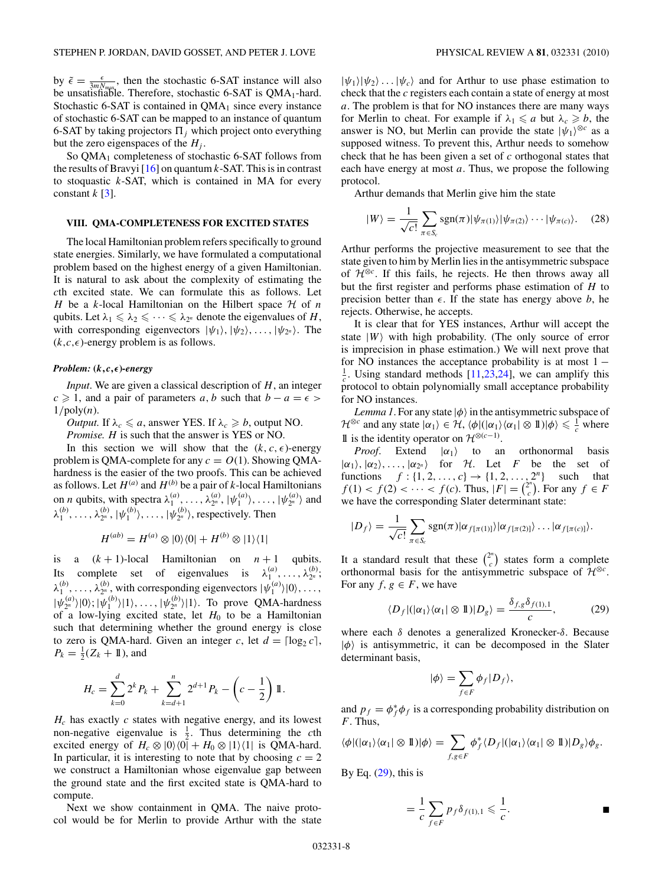by  $\tilde{\epsilon} = \frac{\epsilon}{3mN_{\text{max}}},$  then the stochastic 6-SAT instance will also be unsatisfiable. Therefore, stochastic  $6$ -SAT is QMA<sub>1</sub>-hard. Stochastic 6-SAT is contained in  $QMA<sub>1</sub>$  since every instance of stochastic 6-SAT can be mapped to an instance of quantum 6-SAT by taking projectors  $\Pi_i$  which project onto everything but the zero eigenspaces of the  $H_i$ .

So QMA<sub>1</sub> completeness of stochastic 6-SAT follows from the results of Bravyi [\[16\]](#page-10-0) on quantum *k*-SAT. This is in contrast to stoquastic *k*-SAT, which is contained in MA for every constant  $k$  [\[3\]](#page-9-0).

#### **VIII. QMA-COMPLETENESS FOR EXCITED STATES**

The local Hamiltonian problem refers specifically to ground state energies. Similarly, we have formulated a computational problem based on the highest energy of a given Hamiltonian. It is natural to ask about the complexity of estimating the *c*th excited state. We can formulate this as follows. Let *H* be a *k*-local Hamiltonian on the Hilbert space  $H$  of *n* qubits. Let  $\lambda_1 \leq \lambda_2 \leq \cdots \leq \lambda_{2^n}$  denote the eigenvalues of *H*, with corresponding eigenvectors  $|\psi_1\rangle, |\psi_2\rangle, \dots, |\psi_{2^n}\rangle$ . The  $(k, c, \epsilon)$ -energy problem is as follows.

#### *Problem:* **(***k,c,***)***-energy*

*Input*. We are given a classical description of *H*, an integer  $c \ge 1$ , and a pair of parameters *a*, *b* such that  $b - a = \epsilon$ 1*/*poly(*n*).

*Output.* If  $\lambda_c \leq a$ , answer YES. If  $\lambda_c \geq b$ , output NO.

*Promise. H* is such that the answer is YES or NO.

In this section we will show that the  $(k, c, \epsilon)$ -energy problem is OMA-complete for any  $c = O(1)$ . Showing OMAhardness is the easier of the two proofs. This can be achieved as follows. Let  $H^{(a)}$  and  $H^{(b)}$  be a pair of *k*-local Hamiltonians on *n* qubits, with spectra  $\lambda_1^{(a)}, \ldots, \lambda_{2^n}^{(a)}, |\psi_1^{(a)}\rangle, \ldots, |\psi_{2^n}^{(a)}\rangle$  and  $\lambda_1^{(b)}, \ldots, \lambda_{2^n}^{(b)}, \vert \psi_1^{(b)} \rangle, \ldots, \vert \psi_{2^n}^{(b)} \rangle$ , respectively. Then

$$
H^{(ab)} = H^{(a)} \otimes |0\rangle\langle 0| + H^{(b)} \otimes |1\rangle\langle 1|
$$

is a  $(k + 1)$ -local Hamiltonian on  $n + 1$  qubits. Its complete set of eigenvalues is  $\lambda_1^{(a)}, \ldots, \lambda_{2^n}^{(b)}$ ;  $\lambda_1^{(b)}, \ldots, \lambda_{2^n}^{(b)}$ , with corresponding eigenvectors  $|\psi_1^{(a)}\rangle|0\rangle, \ldots$ ,  $|\psi_{2^n}^{(a)}\rangle|0\rangle; |\psi_1^{(b)}\rangle|1\rangle, \ldots, |\psi_{2^n}^{(b)}\rangle|1\rangle$ . To prove QMA-hardness of a low-lying excited state, let  $H_0$  to be a Hamiltonian such that determining whether the ground energy is close to zero is QMA-hard. Given an integer *c*, let  $d = \lceil \log_2 c \rceil$ ,  $P_k = \frac{1}{2}(Z_k + 1\!\!1)$ , and

$$
H_c = \sum_{k=0}^d 2^k P_k + \sum_{k=d+1}^n 2^{d+1} P_k - \left(c - \frac{1}{2}\right) 1\!\!1.
$$

*Hc* has exactly *c* states with negative energy, and its lowest non-negative eigenvalue is  $\frac{1}{2}$ . Thus determining the *c*th excited energy of  $H_c \otimes |0\rangle\langle0| + H_0 \otimes |1\rangle\langle1|$  is QMA-hard. In particular, it is interesting to note that by choosing  $c = 2$ we construct a Hamiltonian whose eigenvalue gap between the ground state and the first excited state is QMA-hard to compute.

Next we show containment in QMA. The naive protocol would be for Merlin to provide Arthur with the state  $|\psi_1\rangle|\psi_2\rangle\ldots|\psi_c\rangle$  and for Arthur to use phase estimation to check that the *c* registers each contain a state of energy at most *a*. The problem is that for NO instances there are many ways for Merlin to cheat. For example if  $\lambda_1 \leq a$  but  $\lambda_c \geq b$ , the answer is NO, but Merlin can provide the state  $|\psi_1\rangle^{\otimes c}$  as a supposed witness. To prevent this, Arthur needs to somehow check that he has been given a set of *c* orthogonal states that each have energy at most *a*. Thus, we propose the following protocol.

Arthur demands that Merlin give him the state

$$
|W\rangle = \frac{1}{\sqrt{c!}} \sum_{\pi \in S_c} \text{sgn}(\pi) |\psi_{\pi(1)}\rangle |\psi_{\pi(2)}\rangle \cdots |\psi_{\pi(c)}\rangle. \quad (28)
$$

Arthur performs the projective measurement to see that the state given to him by Merlin lies in the antisymmetric subspace of  $\mathcal{H}^{\otimes c}$ . If this fails, he rejects. He then throws away all but the first register and performs phase estimation of *H* to precision better than  $\epsilon$ . If the state has energy above *b*, he rejects. Otherwise, he accepts.

It is clear that for YES instances, Arthur will accept the state  $|W\rangle$  with high probability. (The only source of error is imprecision in phase estimation.) We will next prove that for NO instances the acceptance probability is at most  $1 \frac{1}{c}$ . Using standard methods [\[11](#page-9-0)[,23,24\]](#page-10-0), we can amplify this protocol to obtain polynomially small acceptance probability for NO instances.

*Lemma 1*. For any state  $|\phi\rangle$  in the antisymmetric subspace of  $\mathcal{H}^{\otimes c}$  and any state  $|\alpha_1\rangle \in \mathcal{H}$ ,  $\langle \phi | (|\alpha_1\rangle \langle \alpha_1| \otimes 1|) | \phi \rangle \leq \frac{1}{c}$  where 11 is the identity operator on  $\mathcal{H}^{\otimes (c-1)}$ .

*Proof.* Extend  $|\alpha_1\rangle$  to an orthonormal basis  $|\alpha_1\rangle, |\alpha_2\rangle, \ldots, |\alpha_{2^n}\rangle$  for *H*. Let *F* be the set of functions  $f: \{1, 2, ..., c\} \to \{1, 2, ..., 2^n\}$  such that *f* (1)  $\lt f(2) \lt \cdots \lt f(c)$ . Thus,  $|F| = {2^n \choose c}$ . For any  $f \in F$ we have the corresponding Slater determinant state:

$$
|D_f\rangle = \frac{1}{\sqrt{c!}} \sum_{\pi \in S_c} \text{sgn}(\pi) |\alpha_{f[\pi(1)]}\rangle |\alpha_{f[\pi(2)]}\rangle \dots |\alpha_{f[\pi(c)]}\rangle.
$$

It a standard result that these  $\binom{2^n}{c}$  states form a complete orthonormal basis for the antisymmetric subspace of  $\mathcal{H}^{\otimes c}$ . For any  $f, g \in F$ , we have

$$
\langle D_f | (|\alpha_1\rangle \langle \alpha_1| \otimes 1 \, || D_g \rangle = \frac{\delta_{f,g} \delta_{f(1),1}}{c},\tag{29}
$$

where each *δ* denotes a generalized Kronecker-*δ*. Because  $|\phi\rangle$  is antisymmetric, it can be decomposed in the Slater determinant basis,

$$
|\phi\rangle = \sum_{f \in F} \phi_f |D_f\rangle,
$$

and  $p_f = \phi_f^* \phi_f$  is a corresponding probability distribution on *F*. Thus,

$$
\langle \phi | (|\alpha_1\rangle \langle \alpha_1| \otimes 1\!\!1)|\phi \rangle = \sum_{f,g \in F} \phi_f^* \langle D_f | (|\alpha_1\rangle \langle \alpha_1| \otimes 1\!\!1)|D_g \rangle \phi_g.
$$

By Eq.  $(29)$ , this is

$$
= \frac{1}{c} \sum_{f \in F} p_f \delta_{f(1),1} \leqslant \frac{1}{c}.
$$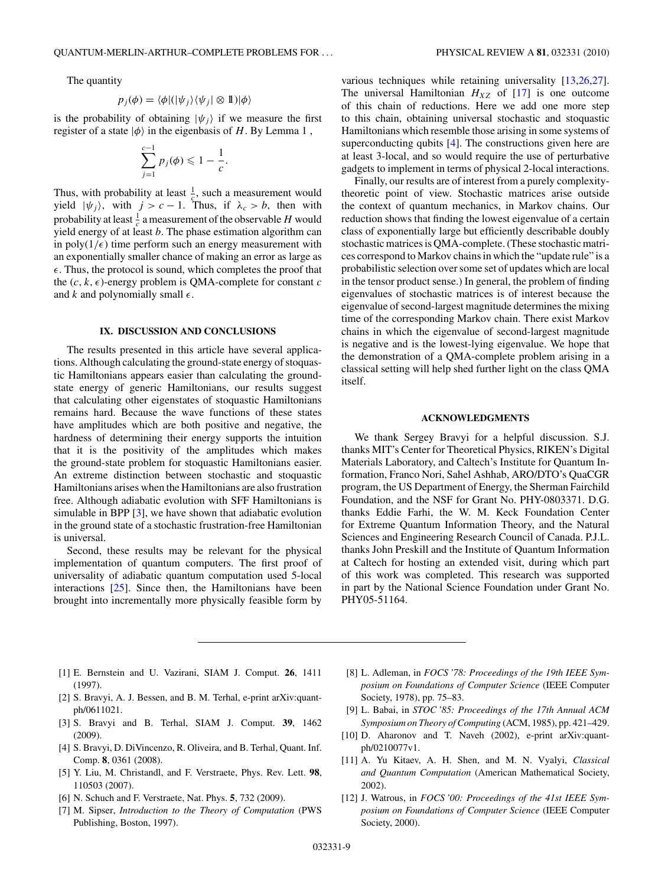<span id="page-9-0"></span>The quantity

$$
p_j(\phi) = \langle \phi | (|\psi_j\rangle \langle \psi_j| \otimes 1) | \phi \rangle
$$

is the probability of obtaining  $|\psi_i\rangle$  if we measure the first register of a state  $|\phi\rangle$  in the eigenbasis of *H*. By Lemma 1,

$$
\sum_{j=1}^{c-1} p_j(\phi) \leq 1 - \frac{1}{c}.
$$

Thus, with probability at least  $\frac{1}{c}$ , such a measurement would yield  $|\psi_j\rangle$ , with  $j>c-1$ . Thus, if  $\lambda_c > b$ , then with probability at least  $\frac{1}{c}$  a measurement of the observable *H* would yield energy of at least *b*. The phase estimation algorithm can in  $poly(1/\epsilon)$  time perform such an energy measurement with an exponentially smaller chance of making an error as large as  $\epsilon$ . Thus, the protocol is sound, which completes the proof that the  $(c, k, \epsilon)$ -energy problem is QMA-complete for constant  $c$ and  $k$  and polynomially small  $\epsilon$ .

#### **IX. DISCUSSION AND CONCLUSIONS**

The results presented in this article have several applications. Although calculating the ground-state energy of stoquastic Hamiltonians appears easier than calculating the groundstate energy of generic Hamiltonians, our results suggest that calculating other eigenstates of stoquastic Hamiltonians remains hard. Because the wave functions of these states have amplitudes which are both positive and negative, the hardness of determining their energy supports the intuition that it is the positivity of the amplitudes which makes the ground-state problem for stoquastic Hamiltonians easier. An extreme distinction between stochastic and stoquastic Hamiltonians arises when the Hamiltonians are also frustration free. Although adiabatic evolution with SFF Hamiltonians is simulable in BPP [3], we have shown that adiabatic evolution in the ground state of a stochastic frustration-free Hamiltonian is universal.

Second, these results may be relevant for the physical implementation of quantum computers. The first proof of universality of adiabatic quantum computation used 5-local interactions [\[25\]](#page-10-0). Since then, the Hamiltonians have been brought into incrementally more physically feasible form by various techniques while retaining universality [\[13,26,27\]](#page-10-0). The universal Hamiltonian  $H_{XZ}$  of [\[17\]](#page-10-0) is one outcome of this chain of reductions. Here we add one more step to this chain, obtaining universal stochastic and stoquastic Hamiltonians which resemble those arising in some systems of superconducting qubits [4]. The constructions given here are at least 3-local, and so would require the use of perturbative gadgets to implement in terms of physical 2-local interactions.

Finally, our results are of interest from a purely complexitytheoretic point of view. Stochastic matrices arise outside the context of quantum mechanics, in Markov chains. Our reduction shows that finding the lowest eigenvalue of a certain class of exponentially large but efficiently describable doubly stochastic matrices is QMA-complete. (These stochastic matrices correspond to Markov chains in which the "update rule" is a probabilistic selection over some set of updates which are local in the tensor product sense.) In general, the problem of finding eigenvalues of stochastic matrices is of interest because the eigenvalue of second-largest magnitude determines the mixing time of the corresponding Markov chain. There exist Markov chains in which the eigenvalue of second-largest magnitude is negative and is the lowest-lying eigenvalue. We hope that the demonstration of a QMA-complete problem arising in a classical setting will help shed further light on the class QMA itself.

#### **ACKNOWLEDGMENTS**

We thank Sergey Bravyi for a helpful discussion. S.J. thanks MIT's Center for Theoretical Physics, RIKEN's Digital Materials Laboratory, and Caltech's Institute for Quantum Information, Franco Nori, Sahel Ashhab, ARO/DTO's QuaCGR program, the US Department of Energy, the Sherman Fairchild Foundation, and the NSF for Grant No. PHY-0803371. D.G. thanks Eddie Farhi, the W. M. Keck Foundation Center for Extreme Quantum Information Theory, and the Natural Sciences and Engineering Research Council of Canada. P.J.L. thanks John Preskill and the Institute of Quantum Information at Caltech for hosting an extended visit, during which part of this work was completed. This research was supported in part by the National Science Foundation under Grant No. PHY05-51164.

- [1] E. Bernstein and U. Vazirani, SIAM J. Comput. **26**, 1411 (1997).
- [2] S. Bravyi, A. J. Bessen, and B. M. Terhal, e-print arXiv:quantph/0611021.
- [3] S. Bravyi and B. Terhal, SIAM J. Comput. **39**, 1462 (2009).
- [4] S. Bravyi, D. DiVincenzo, R. Oliveira, and B. Terhal, Quant. Inf. Comp. **8**, 0361 (2008).
- [5] Y. Liu, M. Christandl, and F. Verstraete, Phys. Rev. Lett. **98**, 110503 (2007).
- [6] N. Schuch and F. Verstraete, Nat. Phys. **5**, 732 (2009).
- [7] M. Sipser, *Introduction to the Theory of Computation* (PWS Publishing, Boston, 1997).
- [8] L. Adleman, in *FOCS '78: Proceedings of the 19th IEEE Symposium on Foundations of Computer Science* (IEEE Computer Society, 1978), pp. 75–83.
- [9] L. Babai, in *STOC '85: Proceedings of the 17th Annual ACM Symposium on Theory of Computing* (ACM, 1985), pp. 421–429.
- [10] D. Aharonov and T. Naveh (2002), e-print arXiv:quantph/0210077v1.
- [11] A. Yu Kitaev, A. H. Shen, and M. N. Vyalyi, *Classical and Quantum Computation* (American Mathematical Society, 2002).
- [12] J. Watrous, in *FOCS '00: Proceedings of the 41st IEEE Symposium on Foundations of Computer Science* (IEEE Computer Society, 2000).